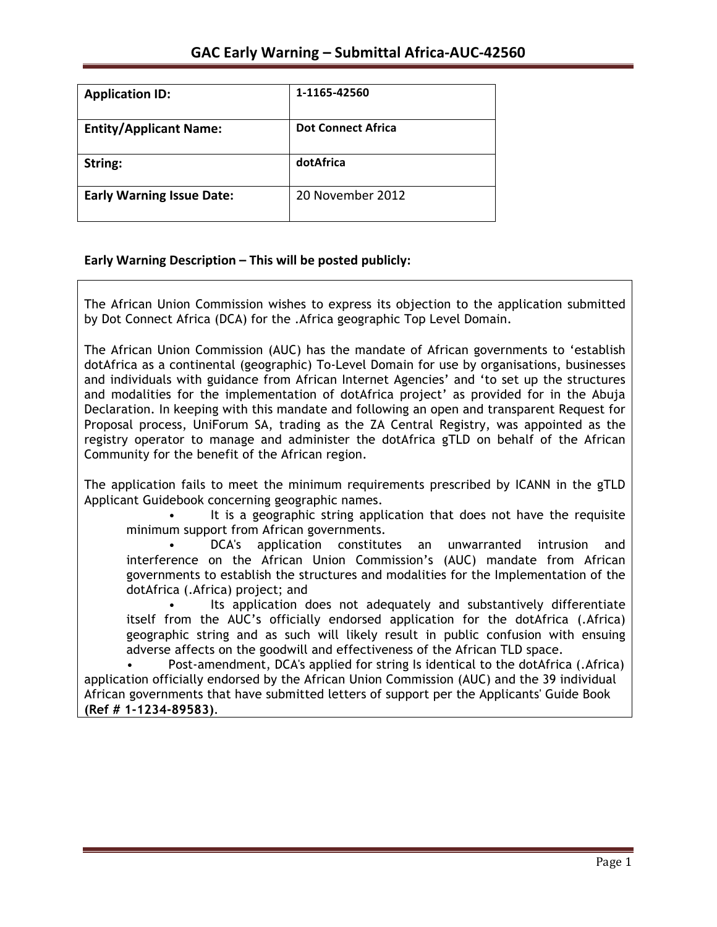| <b>Application ID:</b>           | 1-1165-42560              |
|----------------------------------|---------------------------|
| <b>Entity/Applicant Name:</b>    | <b>Dot Connect Africa</b> |
| String:                          | dotAfrica                 |
| <b>Early Warning Issue Date:</b> | 20 November 2012          |

## **Early Warning Description – This will be posted publicly:**

The African Union Commission wishes to express its objection to the application submitted by Dot Connect Africa (DCA) for the .Africa geographic Top Level Domain.

The African Union Commission (AUC) has the mandate of African governments to 'establish dotAfrica as a continental (geographic) To-Level Domain for use by organisations, businesses and individuals with guidance from African Internet Agencies' and 'to set up the structures and modalities for the implementation of dotAfrica project' as provided for in the Abuja Declaration. In keeping with this mandate and following an open and transparent Request for Proposal process, UniForum SA, trading as the ZA Central Registry, was appointed as the registry operator to manage and administer the dotAfrica gTLD on behalf of the African Community for the benefit of the African region.

The application fails to meet the minimum requirements prescribed by ICANN in the gTLD Applicant Guidebook concerning geographic names.

It is a geographic string application that does not have the requisite minimum support from African governments.

• DCA's application constitutes an unwarranted intrusion and interference on the African Union Commission's (AUC) mandate from African governments to establish the structures and modalities for the Implementation of the dotAfrica (.Africa) project; and

Its application does not adequately and substantively differentiate itself from the AUC's officially endorsed application for the dotAfrica (.Africa) geographic string and as such will likely result in public confusion with ensuing adverse affects on the goodwill and effectiveness of the African TLD space.

• Post-amendment, DCA's applied for string Is identical to the dotAfrica (.Africa) application officially endorsed by the African Union Commission (AUC) and the 39 individual African governments that have submitted letters of support per the Applicants' Guide Book **(Ref # 1-1234-89583)**.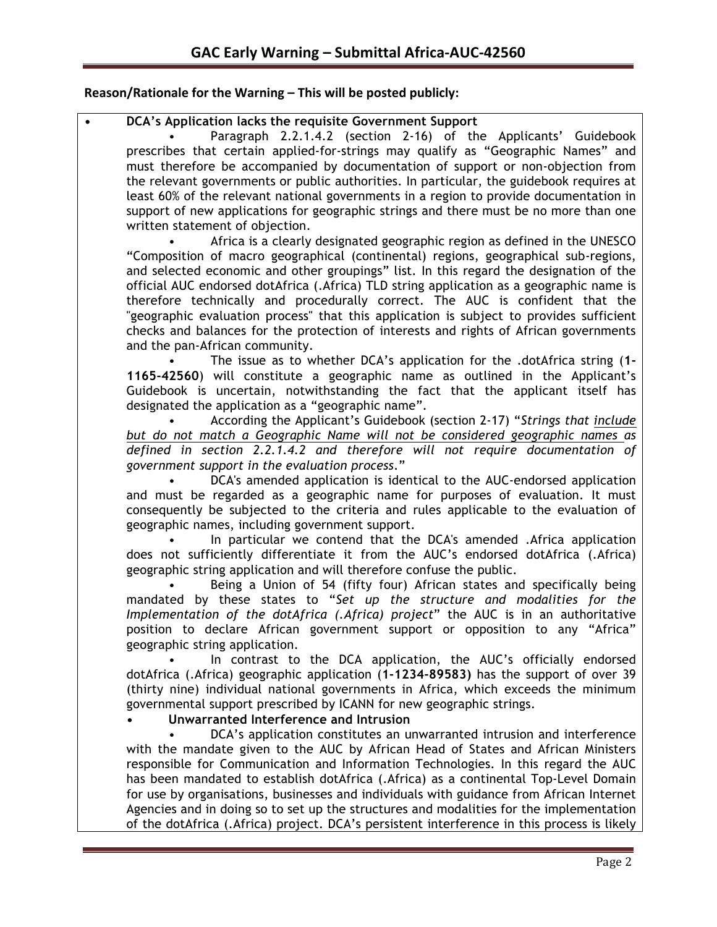## **Reason/Rationale for the Warning – This will be posted publicly:**

## **• DCA's Application lacks the requisite Government Support**

• Paragraph 2.2.1.4.2 (section 2-16) of the Applicants' Guidebook prescribes that certain applied-for-strings may qualify as "Geographic Names" and must therefore be accompanied by documentation of support or non-objection from the relevant governments or public authorities. In particular, the guidebook requires at least 60% of the relevant national governments in a region to provide documentation in support of new applications for geographic strings and there must be no more than one written statement of objection.

• Africa is a clearly designated geographic region as defined in the UNESCO "Composition of macro geographical (continental) regions, geographical sub-regions, and selected economic and other groupings" list. In this regard the designation of the official AUC endorsed dotAfrica (.Africa) TLD string application as a geographic name is therefore technically and procedurally correct. The AUC is confident that the "geographic evaluation process" that this application is subject to provides sufficient checks and balances for the protection of interests and rights of African governments and the pan-African community.

• The issue as to whether DCA's application for the .dotAfrica string (**1- 1165-42560**) will constitute a geographic name as outlined in the Applicant's Guidebook is uncertain, notwithstanding the fact that the applicant itself has designated the application as a "geographic name".

• According the Applicant's Guidebook (section 2-17) "*Strings that include but do not match a Geographic Name will not be considered geographic names as defined in section 2.2.1.4.2 and therefore will not require documentation of government support in the evaluation process*."

• DCA's amended application is identical to the AUC-endorsed application and must be regarded as a geographic name for purposes of evaluation. It must consequently be subjected to the criteria and rules applicable to the evaluation of geographic names, including government support.

In particular we contend that the DCA's amended .Africa application does not sufficiently differentiate it from the AUC's endorsed dotAfrica (.Africa) geographic string application and will therefore confuse the public.

Being a Union of 54 (fifty four) African states and specifically being mandated by these states to "*Set up the structure and modalities for the Implementation of the dotAfrica (.Africa) project*" the AUC is in an authoritative position to declare African government support or opposition to any "Africa" geographic string application.

In contrast to the DCA application, the AUC's officially endorsed dotAfrica (.Africa) geographic application (**1-1234-89583)** has the support of over 39 (thirty nine) individual national governments in Africa, which exceeds the minimum governmental support prescribed by ICANN for new geographic strings.

## **• Unwarranted Interference and Intrusion**

• DCA's application constitutes an unwarranted intrusion and interference with the mandate given to the AUC by African Head of States and African Ministers responsible for Communication and Information Technologies. In this regard the AUC has been mandated to establish dotAfrica (.Africa) as a continental Top-Level Domain for use by organisations, businesses and individuals with guidance from African Internet Agencies and in doing so to set up the structures and modalities for the implementation of the dotAfrica (.Africa) project. DCA's persistent interference in this process is likely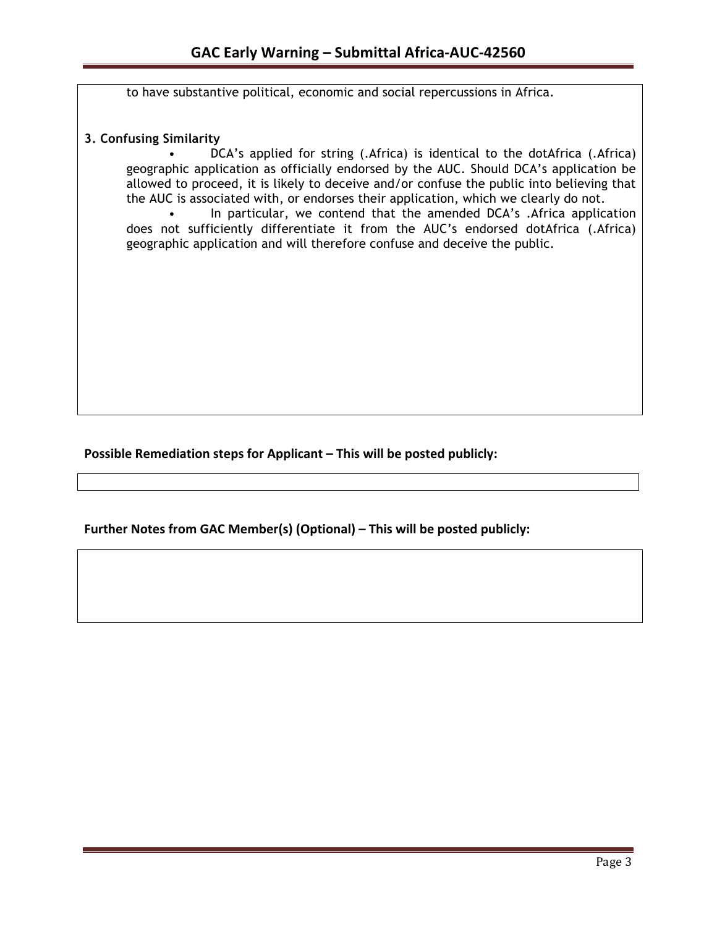to have substantive political, economic and social repercussions in Africa.

### **3. Confusing Similarity**

• DCA's applied for string (.Africa) is identical to the dotAfrica (.Africa) geographic application as officially endorsed by the AUC. Should DCA's application be allowed to proceed, it is likely to deceive and/or confuse the public into believing that the AUC is associated with, or endorses their application, which we clearly do not.

In particular, we contend that the amended DCA's .Africa application does not sufficiently differentiate it from the AUC's endorsed dotAfrica (.Africa) geographic application and will therefore confuse and deceive the public.

**Possible Remediation steps for Applicant – This will be posted publicly:** 

**Further Notes from GAC Member(s) (Optional) – This will be posted publicly:**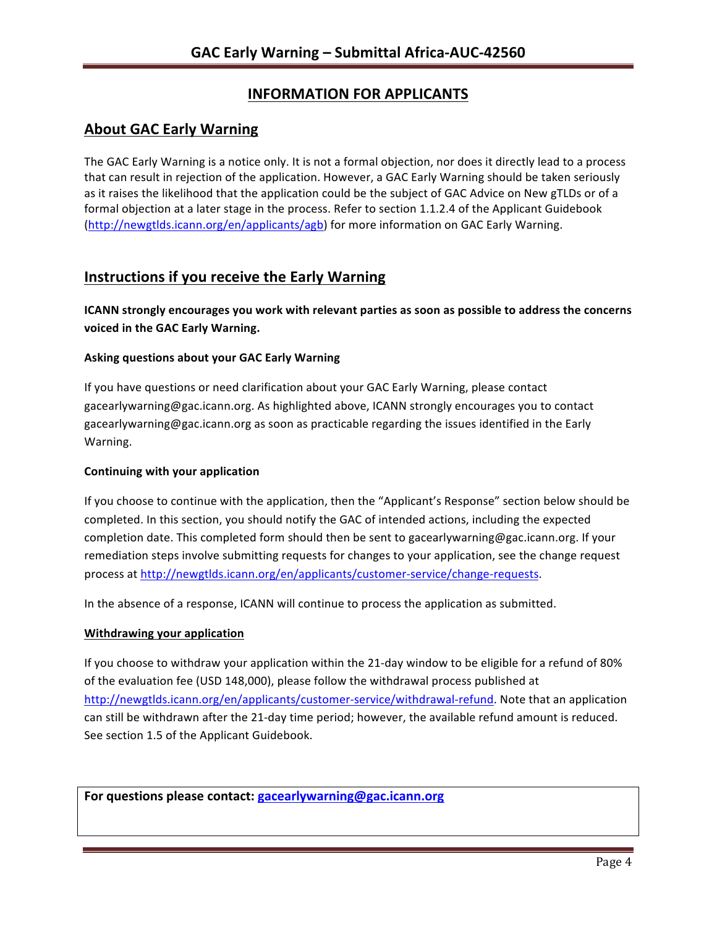# **INFORMATION FOR APPLICANTS**

## **About GAC Early Warning**

The GAC Early Warning is a notice only. It is not a formal objection, nor does it directly lead to a process that can result in rejection of the application. However, a GAC Early Warning should be taken seriously as it raises the likelihood that the application could be the subject of GAC Advice on New gTLDs or of a formal objection at a later stage in the process. Refer to section 1.1.2.4 of the Applicant Guidebook (http://newgtlds.icann.org/en/applicants/agb) for more information on GAC Early Warning.

## **Instructions if you receive the Early Warning**

**ICANN** strongly encourages you work with relevant parties as soon as possible to address the concerns **voiced in the GAC Early Warning.** 

### **Asking questions about your GAC Early Warning**

If you have questions or need clarification about your GAC Early Warning, please contact gacearlywarning@gac.icann.org. As highlighted above, ICANN strongly encourages you to contact gacearlywarning@gac.icann.org as soon as practicable regarding the issues identified in the Early Warning. 

### **Continuing with your application**

If you choose to continue with the application, then the "Applicant's Response" section below should be completed. In this section, you should notify the GAC of intended actions, including the expected completion date. This completed form should then be sent to gacearlywarning@gac.icann.org. If your remediation steps involve submitting requests for changes to your application, see the change request process at http://newgtlds.icann.org/en/applicants/customer-service/change-requests.

In the absence of a response, ICANN will continue to process the application as submitted.

### **Withdrawing your application**

If you choose to withdraw your application within the 21-day window to be eligible for a refund of 80% of the evaluation fee (USD 148,000), please follow the withdrawal process published at http://newgtlds.icann.org/en/applicants/customer-service/withdrawal-refund. Note that an application can still be withdrawn after the 21-day time period; however, the available refund amount is reduced. See section 1.5 of the Applicant Guidebook.

For questions please contact: gacearlywarning@gac.icann.org